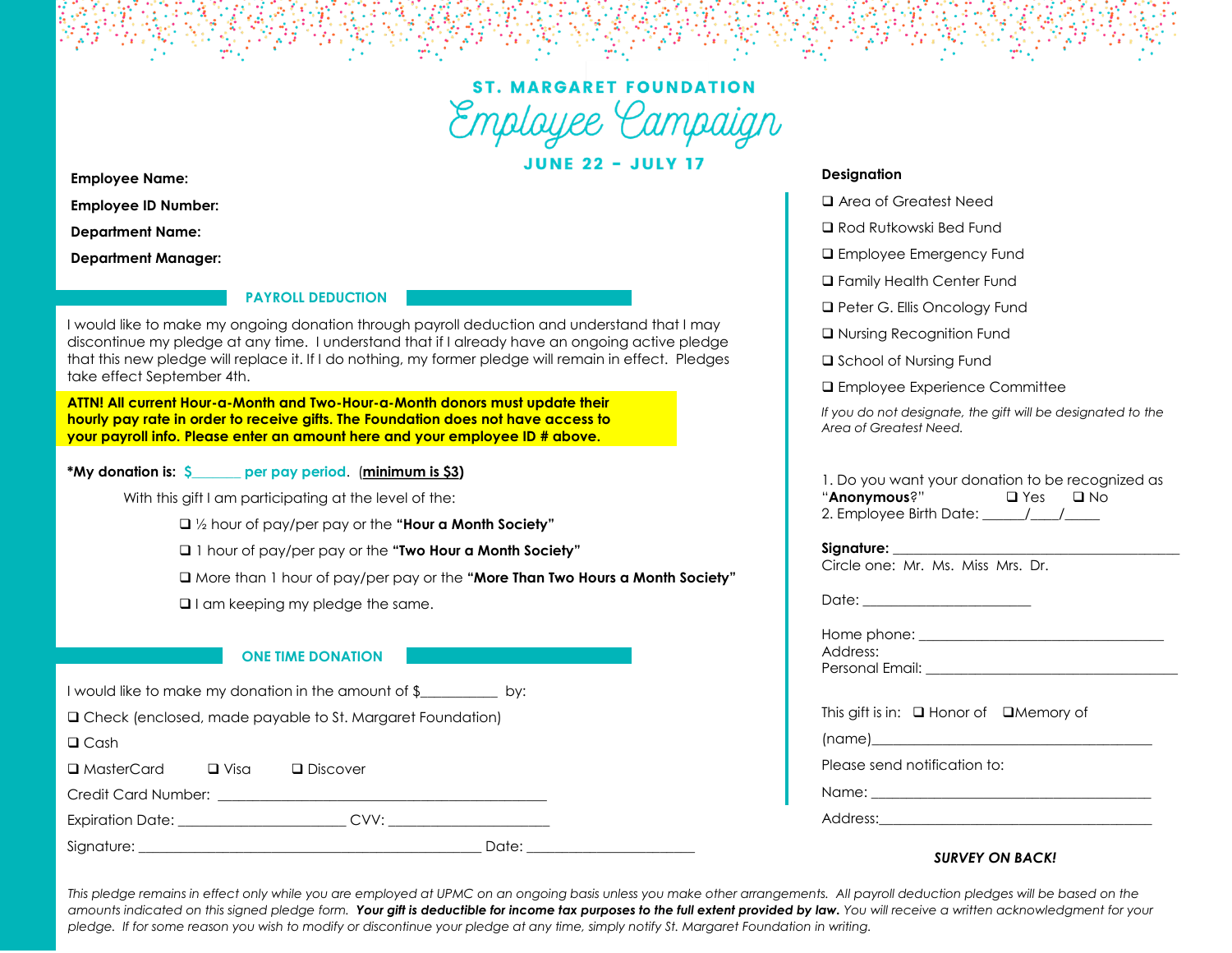

**JUNE 22 - JULY 17** 

**Employee Name:** 

**Employee ID Number:** 

**Department Name:** 

**Department Manager:** 

# **PAYROLL DEDUCTION**

I would like to make my ongoing donation through payroll deduction and understand that I may discontinue my pledge at any time. I understand that if I already have an ongoing active pledge that this new pledge will replace it. If I do nothing, my former pledge will remain in effect. Pledges take effect September 4th.

**ATTN! All current Hour-a-Month and Two-Hour-a-Month donors must update their hourly pay rate in order to receive gifts. The Foundation does not have access to your payroll info. Please enter an amount here and your employee ID # above.** 

### **\*My donation is: \$\_\_\_\_\_\_\_ per pay period**. (**minimum is \$3)**

With this gift I am participating at the level of the:

❑ ½ hour of pay/per pay or the **"Hour a Month Society"** 

❑ 1 hour of pay/per pay or the **"Two Hour a Month Society"** 

❑ More than 1 hour of pay/per pay or the **"More Than Two Hours a Month Society"** 

❑ I am keeping my pledge the same.

# **ONE TIME DONATION**

I would like to make my donation in the amount of \$\_\_\_\_\_\_\_\_\_\_\_ by:

❑ Check (enclosed, made payable to St. Margaret Foundation)

❑ Cash

❑ MasterCard ❑ Visa ❑ Discover

Credit Card Number: **Example 2014** 

Expiration Date:  $CVV$ :

Signature: \_\_\_\_\_\_\_\_\_\_\_\_\_\_\_\_\_\_\_\_\_\_\_\_\_\_\_\_\_\_\_\_\_\_\_\_\_\_\_\_\_\_\_\_\_\_\_\_\_ Date: \_\_\_\_\_\_\_\_\_\_\_\_\_\_\_\_\_\_\_\_\_\_\_\_

# **Designation**

- ❑ Area of Greatest Need
- ❑ Rod Rutkowski Bed Fund
- ❑ Employee Emergency Fund
- ❑ Family Health Center Fund
- ❑ Peter G. Ellis Oncology Fund
- ❑ Nursing Recognition Fund
- ❑ School of Nursing Fund
- ❑ Employee Experience Committee

*If you do not designate, the gift will be designated to the Area of Greatest Need.*

| 1. Do you want your donation to be recognized as |            |      |
|--------------------------------------------------|------------|------|
| "Anonymous?"                                     | $\Box$ Yes | ⊟ No |
| 2. Employee Birth Date:                          |            |      |

#### **Signature:**  $\blacksquare$

Circle one: Mr. Ms. Miss Mrs. Dr.

Date:  $\Box$ 

| Home phone:     |  |  |
|-----------------|--|--|
| Address:        |  |  |
| Personal Email: |  |  |

| This gift is in: $\Box$ Honor of $\Box$ Memory of                                                                                                                                                                              |  |  |
|--------------------------------------------------------------------------------------------------------------------------------------------------------------------------------------------------------------------------------|--|--|
| (name)________________________                                                                                                                                                                                                 |  |  |
| Please send notification to:                                                                                                                                                                                                   |  |  |
| Name: the contract of the contract of the contract of the contract of the contract of the contract of the contract of the contract of the contract of the contract of the contract of the contract of the contract of the cont |  |  |
| Address:                                                                                                                                                                                                                       |  |  |

# *SURVEY ON BACK!*

This pledge remains in effect only while you are employed at UPMC on an ongoing basis unless you make other arrangements. All payroll deduction pledges will be based on the *amounts indicated on this signed pledge form. Your gift is deductible for income tax purposes to the full extent provided by law. You will receive a written acknowledgment for your pledge. If for some reason you wish to modify or discontinue your pledge at any time, simply notify St. Margaret Foundation in writing.*